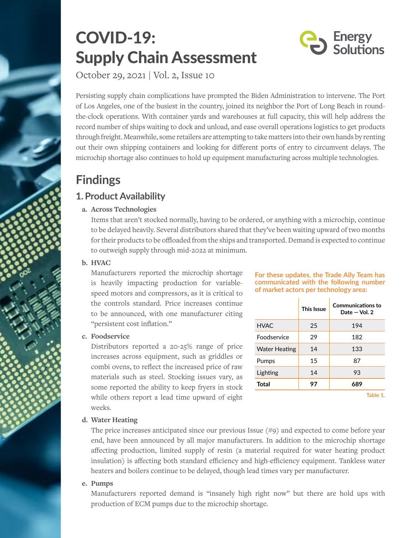# COVID-19: Supply Chain Assessment



October 29, 2021 | Vol. 2, Issue 10

Persisting supply chain complications have prompted the Biden Administration to intervene. The Port of Los Angeles, one of the busiest in the country, joined its neighbor the Port of Long Beach in roundthe-clock operations. With container yards and warehouses at full capacity, this will help address the record number of ships waiting to dock and unload, and ease overall operations logistics to get products through freight. Meanwhile, some retailers are attempting to take matters into their own hands by renting out their own shipping containers and looking for different ports of entry to circumvent delays. The microchip shortage also continues to hold up equipment manufacturing across multiple technologies.

## **Findings**

## **1. Product Availability**

## **a. Across Technologies**

Items that aren't stocked normally, having to be ordered, or anything with a microchip, continue to be delayed heavily. Several distributors shared that they've been waiting upward of two months for their products to be offloaded from the ships and transported. Demand is expected to continue to outweigh supply through mid-2022 at minimum.

## **b. HVAC**

Manufacturers reported the microchip shortage is heavily impacting production for variablespeed motors and compressors, as it is critical to the controls standard. Price increases continue to be announced, with one manufacturer citing "persistent cost inflation."

## **c. Foodservice**

Distributors reported a 20-25% range of price increases across equipment, such as griddles or combi ovens, to reflect the increased price of raw materials such as steel. Stocking issues vary, as some reported the ability to keep fryers in stock while others report a lead time upward of eight weeks.

#### **For these updates, the Trade Ally Team has communicated with the following number of market actors per technology area:**

|               | This Issue | <b>Communications to</b><br>Date $-$ Vol. 2 |
|---------------|------------|---------------------------------------------|
| <b>HVAC</b>   | 25         | 194                                         |
| Foodservice   | 29         | 182                                         |
| Water Heating | 14         | 133                                         |
| Pumps         | 1.5        | 87                                          |
| Lighting      | 14         | 93                                          |
| <b>Total</b>  | 97         | 689                                         |
|               |            | Table 1.                                    |

## **d. Water Heating**

The price increases anticipated since our previous Issue (#9) and expected to come before year end, have been announced by all major manufacturers. In addition to the microchip shortage affecting production, limited supply of resin (a material required for water heating product insulation) is affecting both standard efficiency and high-efficiency equipment. Tankless water heaters and boilers continue to be delayed, though lead times vary per manufacturer.

## **e. Pumps**

Manufacturers reported demand is "insanely high right now" but there are hold ups with production of ECM pumps due to the microchip shortage.